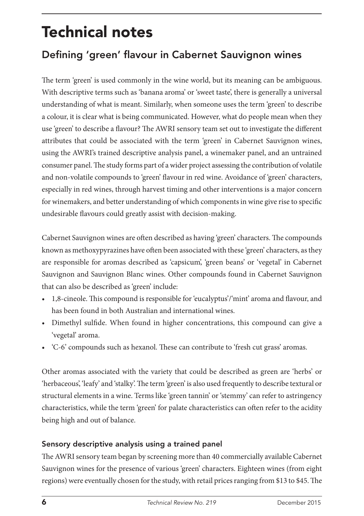# Technical notes

## Defining 'green' flavour in Cabernet Sauvignon wines

The term 'green' is used commonly in the wine world, but its meaning can be ambiguous. With descriptive terms such as 'banana aroma' or 'sweet taste', there is generally a universal understanding of what is meant. Similarly, when someone uses the term 'green' to describe a colour, it is clear what is being communicated. However, what do people mean when they use 'green' to describe a flavour? The AWRI sensory team set out to investigate the different attributes that could be associated with the term 'green' in Cabernet Sauvignon wines, using the AWRI's trained descriptive analysis panel, a winemaker panel, and an untrained consumer panel. The study forms part of a wider project assessing the contribution of volatile and non-volatile compounds to 'green' flavour in red wine. Avoidance of 'green' characters, especially in red wines, through harvest timing and other interventions is a major concern for winemakers, and better understanding of which components in wine give rise to specific undesirable flavours could greatly assist with decision-making.

Cabernet Sauvignon wines are often described as having 'green' characters. The compounds known as methoxypyrazines have often been associated with these 'green' characters, as they are responsible for aromas described as 'capsicum', 'green beans' or 'vegetal' in Cabernet Sauvignon and Sauvignon Blanc wines. Other compounds found in Cabernet Sauvignon that can also be described as 'green' include:

- 1,8-cineole. This compound is responsible for 'eucalyptus'/'mint' aroma and flavour, and has been found in both Australian and international wines.
- Dimethyl sulfide. When found in higher concentrations, this compound can give a 'vegetal' aroma.
- 'C-6' compounds such as hexanol. These can contribute to 'fresh cut grass' aromas.

Other aromas associated with the variety that could be described as green are 'herbs' or 'herbaceous', 'leafy' and 'stalky'. The term 'green' is also used frequently to describe textural or structural elements in a wine. Terms like 'green tannin' or 'stemmy' can refer to astringency characteristics, while the term 'green' for palate characteristics can often refer to the acidity being high and out of balance.

#### Sensory descriptive analysis using a trained panel

The AWRI sensory team began by screening more than 40 commercially available Cabernet Sauvignon wines for the presence of various 'green' characters. Eighteen wines (from eight regions) were eventually chosen for the study, with retail prices ranging from \$13 to \$45. The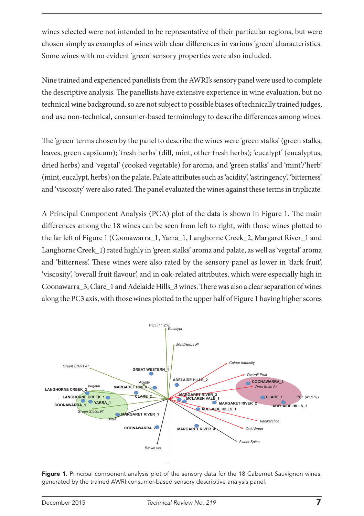wines selected were not intended to be representative of their particular regions, but were chosen simply as examples of wines with clear differences in various 'green' characteristics. Some wines with no evident 'green' sensory properties were also included.

Nine trained and experienced panellists from the AWRI's sensory panel were used to complete the descriptive analysis. The panellists have extensive experience in wine evaluation, but no technical wine background, so are not subject to possible biases of technically trained judges, and use non-technical, consumer-based terminology to describe differences among wines.

The 'green' terms chosen by the panel to describe the wines were 'green stalks' (green stalks, leaves, green capsicum); 'fresh herbs' (dill, mint, other fresh herbs)*;* 'eucalypt' (eucalyptus, dried herbs) and 'vegetal' (cooked vegetable) for aroma, and 'green stalks' and 'mint'/'herb' (mint, eucalypt, herbs) on the palate. Palate attributes such as 'acidity', 'astringency', 'bitterness' and 'viscosity' were also rated. The panel evaluated the wines against these terms in triplicate.

A Principal Component Analysis (PCA) plot of the data is shown in Figure 1. The main differences among the 18 wines can be seen from left to right, with those wines plotted to the far left of Figure 1 (Coonawarra\_1, Yarra\_1, Langhorne Creek\_2, Margaret River\_1 and Langhorne Creek\_1) rated highly in 'green stalks' aroma and palate, as well as 'vegetal' aroma and 'bitterness'. These wines were also rated by the sensory panel as lower in 'dark fruit', 'viscosity', 'overall fruit flavour', and in oak-related attributes, which were especially high in Coonawarra\_3, Clare\_1 and Adelaide Hills\_3 wines. There was also a clear separation of wines along the PC3 axis, with those wines plotted to the upper half of Figure 1 having higher scores



Figure 1. Principal component analysis plot of the sensory data for the 18 Cabernet Sauvignon wines. generated by the trained AWRI consumer-based sensory descriptive analysis panel.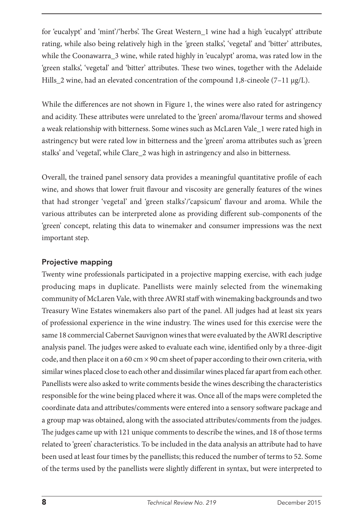for 'eucalypt' and 'mint'/'herbs'. The Great Western\_1 wine had a high 'eucalypt' attribute rating, while also being relatively high in the *'*green stalks', 'vegetal' and 'bitter' attributes, while the Coonawarra 3 wine, while rated highly in 'eucalypt' aroma, was rated low in the 'green stalks', 'vegetal' and 'bitter' attributes. These two wines, together with the Adelaide Hills\_2 wine, had an elevated concentration of the compound 1,8-cineole (7–11 μg/L).

While the differences are not shown in Figure 1, the wines were also rated for astringency and acidity. These attributes were unrelated to the 'green' aroma/flavour terms and showed a weak relationship with bitterness. Some wines such as McLaren Vale\_1 were rated high in astringency but were rated low in bitterness and the 'green' aroma attributes such as 'green stalks' and 'vegetal', while Clare\_2 was high in astringency and also in bitterness.

Overall, the trained panel sensory data provides a meaningful quantitative profile of each wine, and shows that lower fruit flavour and viscosity are generally features of the wines that had stronger 'vegetal' and 'green stalks'/'capsicum' flavour and aroma. While the various attributes can be interpreted alone as providing different sub-components of the 'green' concept, relating this data to winemaker and consumer impressions was the next important step.

#### Projective mapping

Twenty wine professionals participated in a projective mapping exercise, with each judge producing maps in duplicate. Panellists were mainly selected from the winemaking community of McLaren Vale, with three AWRI staff with winemaking backgrounds and two Treasury Wine Estates winemakers also part of the panel. All judges had at least six years of professional experience in the wine industry. The wines used for this exercise were the same 18 commercial Cabernet Sauvignon wines that were evaluated by the AWRI descriptive analysis panel. The judges were asked to evaluate each wine, identified only by a three-digit code, and then place it on a 60 cm  $\times$  90 cm sheet of paper according to their own criteria, with similar wines placed close to each other and dissimilar wines placed far apart from each other. Panellists were also asked to write comments beside the wines describing the characteristics responsible for the wine being placed where it was. Once all of the maps were completed the coordinate data and attributes/comments were entered into a sensory software package and a group map was obtained, along with the associated attributes/comments from the judges. The judges came up with 121 unique comments to describe the wines, and 18 of those terms related to 'green' characteristics. To be included in the data analysis an attribute had to have been used at least four times by the panellists; this reduced the number of terms to 52. Some of the terms used by the panellists were slightly different in syntax, but were interpreted to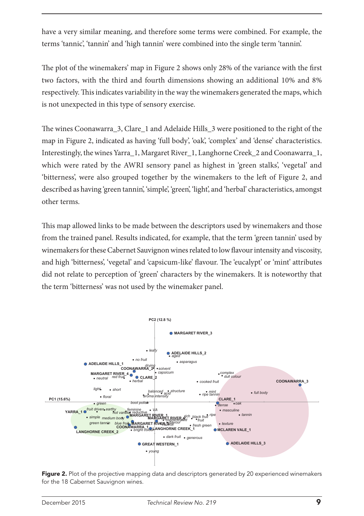have a very similar meaning, and therefore some terms were combined. For example, the terms 'tannic', 'tannin' and 'high tannin' were combined into the single term 'tannin'.

The plot of the winemakers' map in Figure 2 shows only 28% of the variance with the first two factors, with the third and fourth dimensions showing an additional 10% and 8% respectively. This indicates variability in the way the winemakers generated the maps, which is not unexpected in this type of sensory exercise.

The wines Coonawarra\_3, Clare\_1 and Adelaide Hills\_3 were positioned to the right of the map in Figure 2, indicated as having 'full body', 'oak', 'complex' and 'dense' characteristics. Interestingly, the wines Yarra\_1, Margaret River\_1, Langhorne Creek\_2 and Coonawarra\_1, which were rated by the AWRI sensory panel as highest in 'green stalks', 'vegetal' and 'bitterness', were also grouped together by the winemakers to the left of Figure 2, and described as having 'green tannin', 'simple', 'green', 'light', and 'herbal' characteristics, amongst other terms.

This map allowed links to be made between the descriptors used by winemakers and those from the trained panel. Results indicated, for example, that the term 'green tannin' used by winemakers for these Cabernet Sauvignon wines related to low flavour intensity and viscosity, and high 'bitterness', 'vegetal' and 'capsicum-like' flavour. The 'eucalypt' or 'mint' attributes did not relate to perception of 'green' characters by the winemakers. It is noteworthy that the term 'bitterness' was not used by the winemaker panel.



Figure 2. Plot of the projective mapping data and descriptors generated by 20 experienced winemakers for the 18 Cabernet Sauvignon wines.